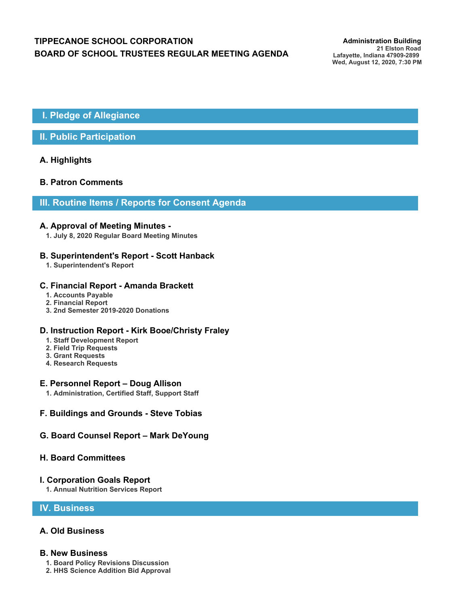# **TIPPECANOE SCHOOL CORPORATION** *Administration Building* **BOARD OF SCHOOL TRUSTEES REGULAR MEETING AGENDA**

**21 Elston Road Lafayette, Indiana 47909-2899 Wed, August 12, 2020, 7:30 PM**

## **I. Pledge of Allegiance**

### **II. Public Participation**

### **A. Highlights**

### **B. Patron Comments**

### **III. Routine Items / Reports for Consent Agenda**

#### **A. Approval of Meeting Minutes -**

**1. July 8, 2020 Regular Board Meeting Minutes**

### **B. Superintendent's Report - Scott Hanback**

**1. Superintendent's Report**

#### **C. Financial Report - Amanda Brackett**

- **1. Accounts Payable**
- **2. Financial Report**
- **3. 2nd Semester 2019-2020 Donations**

#### **D. Instruction Report - Kirk Booe/Christy Fraley**

- **1. Staff Development Report**
- **2. Field Trip Requests**
- **3. Grant Requests**
- **4. Research Requests**

#### **E. Personnel Report – Doug Allison**

- **1. Administration, Certified Staff, Support Staff**
- **F. Buildings and Grounds Steve Tobias**

### **G. Board Counsel Report – Mark DeYoung**

### **H. Board Committees**

### **I. Corporation Goals Report**

**1. Annual Nutrition Services Report**

### **IV. Business**

### **A. Old Business**

#### **B. New Business**

- **1. Board Policy Revisions Discussion**
- **2. HHS Science Addition Bid Approval**